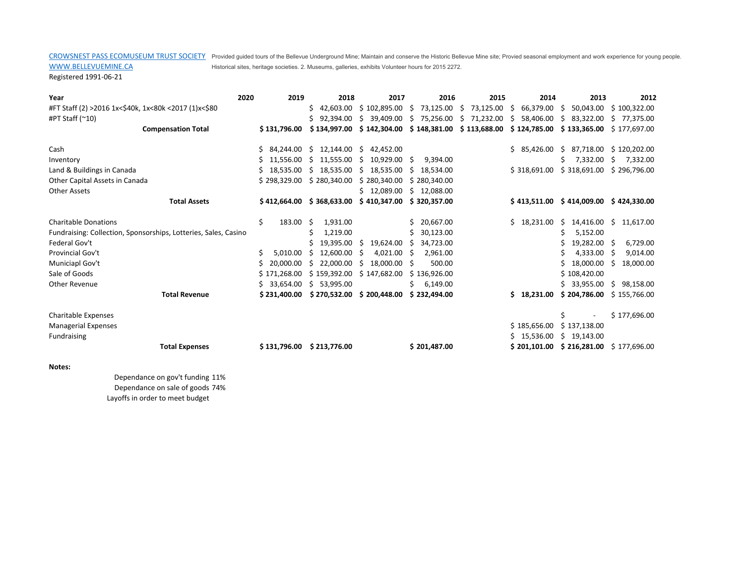CROWSNEST PASS ECOMUSEUM TRUST SOCIETY Provided guided tours of the Bellevue Underground Mine; Maintain and conserve the Historic Bellevue Mine site; Provied seasonal employment and work experience for young people. Historical sites, heritage societies. 2. Museums, galleries, exhibits Volunteer hours for 2015 2272.

Registered 1991-06-21

WWW.BELLEVUEMINE.CA

| Year                                                            | 2020<br>2019    | 2018                                | 2017                      | 2016            | 2015            | 2014                             | 2013                       | 2012                   |
|-----------------------------------------------------------------|-----------------|-------------------------------------|---------------------------|-----------------|-----------------|----------------------------------|----------------------------|------------------------|
| #FT Staff (2) >2016 1x<\$40k, 1x<80k <2017 (1)x<\$80            |                 | Ś.<br>42,603.00                     | \$102,895.00              | 73,125.00<br>-S | 73,125.00<br>\$ | 66,379.00<br>$\ddot{\mathsf{s}}$ | 50,043.00<br>S.            | \$100,322.00           |
| #PT Staff $(^{\sim}10)$                                         |                 | 92.394.00<br>Ś.                     | Ŝ.<br>39.409.00           | 75,256.00<br>-S | 71,232.00<br>S. | 58.406.00<br>S.                  | 83.322.00<br>S             | 77.375.00<br>S.        |
| <b>Compensation Total</b>                                       | \$131.796.00    | \$134.997.00                        | \$142,304.00              | \$148,381.00    | \$113,688.00    | \$124,785.00                     | \$133,365.00               | \$177,697.00           |
|                                                                 |                 |                                     |                           |                 |                 |                                  |                            |                        |
| Cash                                                            | Ś.              | 84,244.00 \$ 12,144.00 \$ 42,452.00 |                           |                 |                 | \$3,426.00                       | Ŝ.                         | 87,718.00 \$120,202.00 |
| Inventory                                                       | 11,556.00<br>S. | S.<br>11,555.00                     | \$<br>10,929.00 \$        | 9,394.00        |                 |                                  | 7,332.00<br>S.             | 7,332.00<br>Ŝ.         |
| Land & Buildings in Canada                                      | 18.535.00<br>S. | 18,535.00<br>Ŝ.                     | Ŝ.<br>18,535.00           | 18,534.00<br>S. |                 | \$318,691.00                     | \$318,691.00               | \$296,796.00           |
| Other Capital Assets in Canada                                  | \$298,329.00    | \$280,340.00                        | \$280,340.00              | \$280,340.00    |                 |                                  |                            |                        |
| <b>Other Assets</b>                                             |                 |                                     | \$12,089.00               | \$12,088.00     |                 |                                  |                            |                        |
| <b>Total Assets</b>                                             |                 | $$412,664.00 \$368,633.00$          | \$410,347.00              | \$320,357.00    |                 | \$413,511.00                     | $$414,009.00 \$424,330.00$ |                        |
| <b>Charitable Donations</b>                                     | \$<br>183.00 \$ | 1,931.00                            |                           | \$20,667.00     |                 | \$18,231.00                      | 14,416.00<br>S.            | S.<br>11,617.00        |
| Fundraising: Collection, Sponsorships, Lotteries, Sales, Casino |                 | \$<br>1,219.00                      |                           | 30,123.00<br>S. |                 |                                  | 5,152.00<br>Ś              |                        |
| Federal Gov't                                                   |                 | 19,395.00                           | - Ś<br>19,624.00          | 34,723.00<br>Ŝ. |                 |                                  | 19,282.00                  | 6,729.00<br>-\$        |
| Provincial Gov't                                                | Ś.<br>5,010.00  | 12,600.00<br>S                      | 4,021.00<br>-S            | 2,961.00<br>-S  |                 |                                  | 4,333.00                   | \$<br>9,014.00         |
| Municiapl Gov't                                                 | 20,000.00<br>Ś. | Ŝ<br>22,000.00                      | \$.<br>18,000.00          | 500.00<br>-Ŝ    |                 |                                  | 18,000.00                  | \$<br>18,000.00        |
| Sale of Goods                                                   | \$171,268.00    | \$159,392.00                        | \$147,682.00              | \$136,926.00    |                 |                                  | \$108,420.00               |                        |
| <b>Other Revenue</b>                                            | 33,654.00<br>S. | Ŝ.<br>53.995.00                     |                           | 6,149.00<br>Ś.  |                 |                                  | 33.955.00<br>Ś.            | S.<br>98,158.00        |
| <b>Total Revenue</b>                                            | \$231,400.00    |                                     | \$270,532.00 \$200,448.00 | \$232,494.00    |                 | \$18,231.00                      | \$204,786.00               | \$155,766.00           |
| Charitable Expenses                                             |                 |                                     |                           |                 |                 |                                  |                            | \$177,696.00           |
|                                                                 |                 |                                     |                           |                 |                 | \$185,656.00                     | \$137,138.00               |                        |
| <b>Managerial Expenses</b>                                      |                 |                                     |                           |                 |                 |                                  |                            |                        |
| Fundraising                                                     |                 |                                     |                           |                 |                 | \$15,536.00                      | \$19,143.00                |                        |
| <b>Total Expenses</b>                                           | \$131,796.00    | \$213,776.00                        |                           | \$201,487.00    |                 | \$201,101.00                     | \$216,281.00               | \$177,696.00           |

**Notes:** 

Dependance on gov't funding 11% Dependance on sale of goods 74% Layoffs in order to meet budget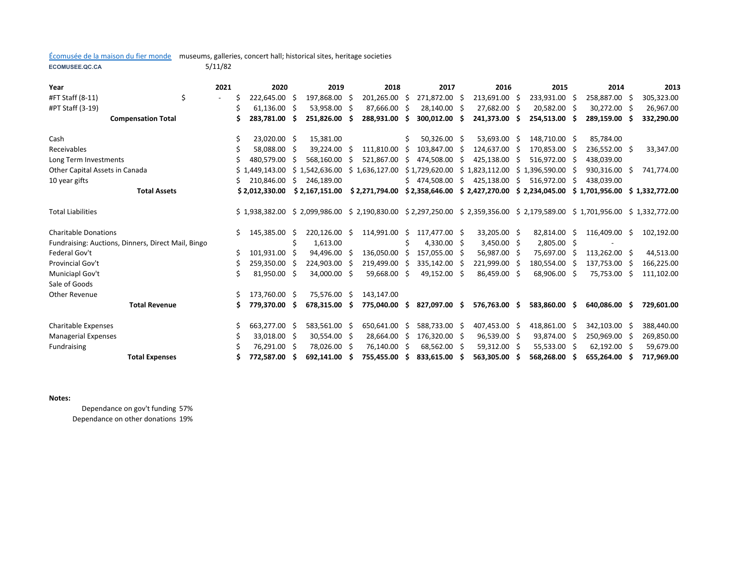## Écomusée de la maison du fier monde museums, galleries, concert hall; historical sites, heritage societies

**ECOMUSEE.QC.CA**

5/11/82

| Year                                               | 2021                     | 2020            |     | 2019                                                                        | 2018                          |     | 2017           |   | 2016           |     | 2015           |              | 2014                           |      | 2013           |
|----------------------------------------------------|--------------------------|-----------------|-----|-----------------------------------------------------------------------------|-------------------------------|-----|----------------|---|----------------|-----|----------------|--------------|--------------------------------|------|----------------|
| \$<br>#FT Staff (8-11)                             | $\overline{\phantom{0}}$ | 222,645.00      | -Ś  | 197,868.00 \$                                                               | 201,265.00                    | - Ś | 271,872.00 \$  |   | 213,691.00 \$  |     | 233,931.00     | -Ŝ           | 258,887.00 \$                  |      | 305,323.00     |
| #PT Staff (3-19)                                   |                          | 61,136.00       | -S  | 53,958.00 \$                                                                | 87,666.00 \$                  |     | 28,140.00 \$   |   | 27,682.00 \$   |     | 20,582.00 \$   |              | 30,272.00 \$                   |      | 26,967.00      |
| <b>Compensation Total</b>                          |                          | 283,781.00<br>Ś | -S  | 251,826.00 \$                                                               | 288,931.00                    | -Ś. | 300,012.00 \$  |   | 241,373.00 \$  |     | 254,513.00 \$  |              | 289,159.00 \$                  |      | 332,290.00     |
| Cash                                               |                          | 23,020.00 \$    |     | 15.381.00                                                                   |                               | Ś.  | 50.326.00 \$   |   | 53,693.00 \$   |     | 148,710.00 \$  |              | 85,784.00                      |      |                |
| Receivables                                        |                          | 58.088.00       | -S  | 39.224.00 \$                                                                | 111.810.00                    | -S  | 103,847.00 \$  |   | 124.637.00     | - Ś | 170.853.00 \$  |              | 236,552.00 \$                  |      | 33,347.00      |
| Long Term Investments                              |                          | 480,579.00      | -S  | 568,160.00 \$                                                               | 521,867.00                    | -\$ | 474,508.00     |   | 425,138.00     | - S | 516,972.00 \$  |              | 438,039.00                     |      |                |
| Other Capital Assets in Canada                     |                          | \$1.449.143.00  |     | $$1,542,636.00 \$1,636,127.00$                                              |                               |     | \$1,729,620.00 |   | \$1,823,112.00 |     | \$1,396,590.00 | -S           | 930,316.00 \$                  |      | 741,774.00     |
| 10 year gifts                                      |                          | 210,846.00      | -\$ | 246,189.00                                                                  |                               | Ś.  | 474,508.00     | Ŝ | 425,138.00     | Ŝ.  | 516,972.00     | Ŝ            | 438,039.00                     |      |                |
| <b>Total Assets</b>                                |                          | \$2,012,330.00  |     | \$2,167,151.00                                                              | \$2,271,794.00 \$2,358,646.00 |     |                |   | \$2,427,270.00 |     | \$2,234,045.00 |              | \$1,701,956.00                 |      | \$1,332,772.00 |
|                                                    |                          |                 |     |                                                                             |                               |     |                |   |                |     |                |              |                                |      |                |
| <b>Total Liabilities</b>                           |                          | \$1,938,382.00  |     | $$2,099,986.00 \$2,190,830.00 \$2,297,250.00 \$2,359,356.00 \$2,179,589.00$ |                               |     |                |   |                |     |                |              | $$1,701,956.00 \$1,332,772.00$ |      |                |
| <b>Charitable Donations</b>                        |                          | Ŝ<br>145,385.00 | Ŝ   | 220,126.00 \$                                                               | 114,991.00                    | S.  | 117,477.00 \$  |   | 33,205.00 \$   |     | 82,814.00      | Ŝ            | 116,409.00 \$                  |      | 102,192.00     |
| Fundraising: Auctions, Dinners, Direct Mail, Bingo |                          |                 | Ś   | 1,613.00                                                                    |                               | Ś   | 4.330.00 \$    |   | $3,450.00$ \$  |     | 2,805.00 \$    |              |                                |      |                |
| Federal Gov't                                      | Ś                        | 101,931.00      | -S  | 94,496.00 \$                                                                | 136,050.00                    | Ŝ   | 157,055.00 \$  |   | 56,987.00 \$   |     | 75,697.00      | <sub>S</sub> | 113,262.00 \$                  |      | 44,513.00      |
| Provincial Gov't                                   |                          | 259,350.00      | -S  | 224,903.00 \$                                                               | 219,499.00                    | -S  | 335,142.00 \$  |   | 221,999.00     | - S | 180,554.00     | -S           | 137,753.00 \$                  |      | 166,225.00     |
| Municiapl Gov't                                    | Ś                        | 81,950.00 \$    |     | 34,000.00 \$                                                                | 59,668.00                     | -Ŝ  | 49,152.00 \$   |   | 86,459.00      | - S | 68,906.00 \$   |              | 75,753.00                      | - \$ | 111,102.00     |
| Sale of Goods                                      |                          |                 |     |                                                                             |                               |     |                |   |                |     |                |              |                                |      |                |
| <b>Other Revenue</b>                               |                          | 173,760.00 \$   |     | 75,576.00 \$                                                                | 143.147.00                    |     |                |   |                |     |                |              |                                |      |                |
| <b>Total Revenue</b>                               |                          | 779,370.00<br>Ś | -S  | 678,315.00 \$                                                               | 775,040.00                    | -Ś  | 827,097.00 \$  |   | 576,763.00 \$  |     | 583,860.00     | -S           | 640,086.00 \$                  |      | 729,601.00     |
| <b>Charitable Expenses</b>                         |                          | 663,277.00      | -S  | 583,561.00 \$                                                               | 650,641.00                    | \$. | 588,733.00 \$  |   | 407,453.00 \$  |     | 418,861.00     | <sub>S</sub> | 342,103.00 \$                  |      | 388,440.00     |
| <b>Managerial Expenses</b>                         |                          | 33,018.00       | -S  | 30,554.00 \$                                                                | 28,664.00                     | Ŝ   | 176,320.00 \$  |   | 96,539.00 \$   |     | 93,874.00      | -S           | 250,969.00 \$                  |      | 269,850.00     |
| Fundraising                                        |                          | 76,291.00       | -S  | 78,026.00 \$                                                                | 76,140.00                     | -Ś  | 68,562.00 \$   |   | 59,312.00      | - S | 55,533.00 \$   |              | 62,192.00 \$                   |      | 59,679.00      |
| <b>Total Expenses</b>                              |                          | 772,587.00      | s   | 692,141.00                                                                  | 755,455.00                    | Ŝ.  | 833,615.00     |   | 563,305.00     | S   | 568,268.00     |              | 655,264.00                     | -S   | 717,969.00     |

**Notes:** 

Dependance on gov't funding 57% Dependance on other donations 19%